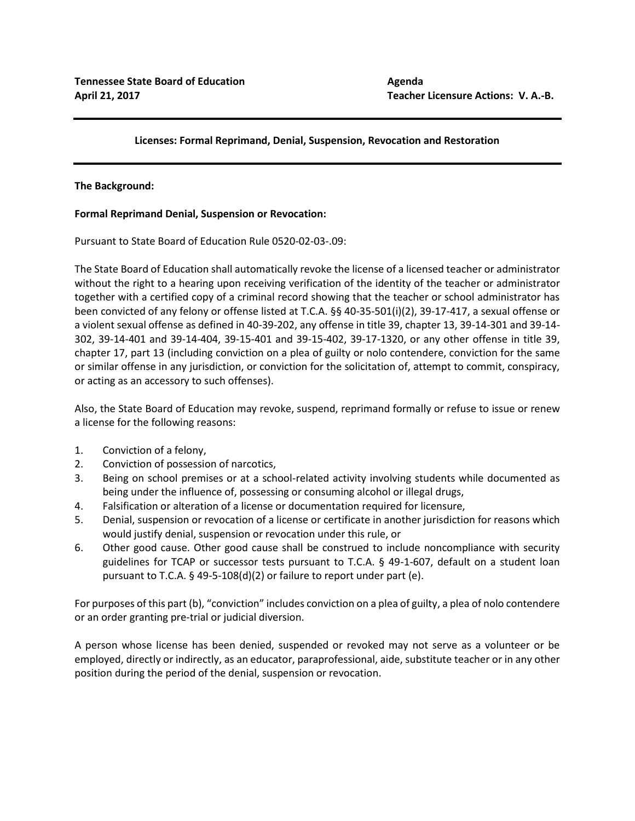# **Licenses: Formal Reprimand, Denial, Suspension, Revocation and Restoration**

## **The Background:**

## **Formal Reprimand Denial, Suspension or Revocation:**

Pursuant to State Board of Education Rule 0520-02-03-.09:

The State Board of Education shall automatically revoke the license of a licensed teacher or administrator without the right to a hearing upon receiving verification of the identity of the teacher or administrator together with a certified copy of a criminal record showing that the teacher or school administrator has been convicted of any felony or offense listed at T.C.A. §§ 40-35-501(i)(2), 39-17-417, a sexual offense or a violent sexual offense as defined in 40-39-202, any offense in title 39, chapter 13, 39-14-301 and 39-14- 302, 39-14-401 and 39-14-404, 39-15-401 and 39-15-402, 39-17-1320, or any other offense in title 39, chapter 17, part 13 (including conviction on a plea of guilty or nolo contendere, conviction for the same or similar offense in any jurisdiction, or conviction for the solicitation of, attempt to commit, conspiracy, or acting as an accessory to such offenses).

Also, the State Board of Education may revoke, suspend, reprimand formally or refuse to issue or renew a license for the following reasons:

- 1. Conviction of a felony,
- 2. Conviction of possession of narcotics,
- 3. Being on school premises or at a school-related activity involving students while documented as being under the influence of, possessing or consuming alcohol or illegal drugs,
- 4. Falsification or alteration of a license or documentation required for licensure,
- 5. Denial, suspension or revocation of a license or certificate in another jurisdiction for reasons which would justify denial, suspension or revocation under this rule, or
- 6. Other good cause. Other good cause shall be construed to include noncompliance with security guidelines for TCAP or successor tests pursuant to T.C.A. § 49-1-607, default on a student loan pursuant to T.C.A. § 49-5-108(d)(2) or failure to report under part (e).

For purposes of this part (b), "conviction" includes conviction on a plea of guilty, a plea of nolo contendere or an order granting pre-trial or judicial diversion.

A person whose license has been denied, suspended or revoked may not serve as a volunteer or be employed, directly or indirectly, as an educator, paraprofessional, aide, substitute teacher or in any other position during the period of the denial, suspension or revocation.